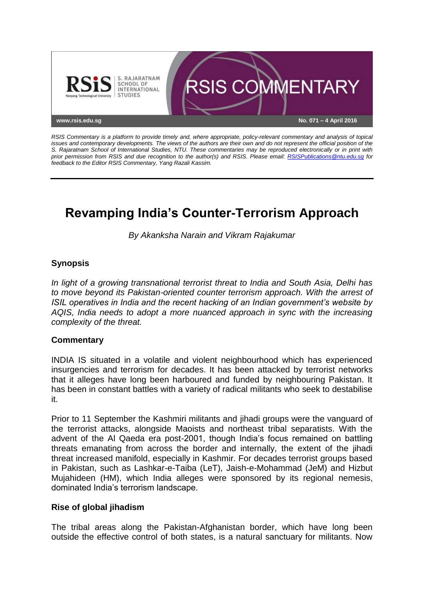

*RSIS Commentary is a platform to provide timely and, where appropriate, policy-relevant commentary and analysis of topical issues and contemporary developments. The views of the authors are their own and do not represent the official position of the S. Rajaratnam School of International Studies, NTU. These commentaries may be reproduced electronically or in print with prior permission from RSIS and due recognition to the author(s) and RSIS. Please email: [RSISPublications@ntu.edu.sg](mailto:RSISPublications@ntu.edu.sg) for feedback to the Editor RSIS Commentary, Yang Razali Kassim.*

# **Revamping India's Counter-Terrorism Approach**

*By Akanksha Narain and Vikram Rajakumar*

# **Synopsis**

*In light of a growing transnational terrorist threat to India and South Asia, Delhi has to move beyond its Pakistan-oriented counter terrorism approach. With the arrest of ISIL operatives in India and the recent hacking of an Indian government's website by AQIS, India needs to adopt a more nuanced approach in sync with the increasing complexity of the threat.*

## **Commentary**

INDIA IS situated in a volatile and violent neighbourhood which has experienced insurgencies and terrorism for decades. It has been attacked by terrorist networks that it alleges have long been harboured and funded by neighbouring Pakistan. It has been in constant battles with a variety of radical militants who seek to destabilise it.

Prior to 11 September the Kashmiri militants and jihadi groups were the vanguard of the terrorist attacks, alongside Maoists and northeast tribal separatists. With the advent of the Al Qaeda era post-2001, though India's focus remained on battling threats emanating from across the border and internally, the extent of the jihadi threat increased manifold, especially in Kashmir. For decades terrorist groups based in Pakistan, such as Lashkar-e-Taiba (LeT), Jaish-e-Mohammad (JeM) and Hizbut Mujahideen (HM), which India alleges were sponsored by its regional nemesis, dominated India's terrorism landscape.

#### **Rise of global jihadism**

The tribal areas along the Pakistan-Afghanistan border, which have long been outside the effective control of both states, is a natural sanctuary for militants. Now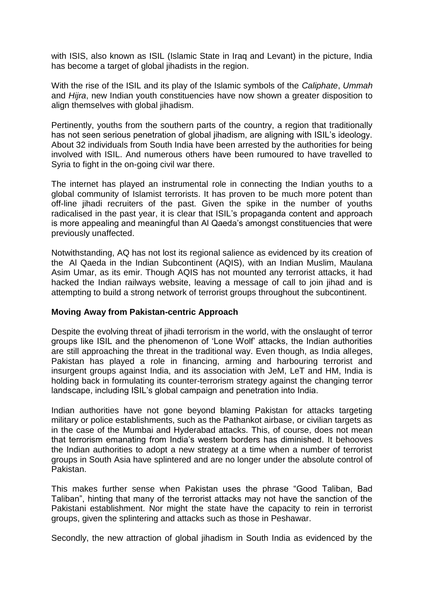with ISIS, also known as ISIL (Islamic State in Iraq and Levant) in the picture, India has become a target of global jihadists in the region.

With the rise of the ISIL and its play of the Islamic symbols of the *Caliphate*, *Ummah* and *Hijra*, new Indian youth constituencies have now shown a greater disposition to align themselves with global jihadism.

Pertinently, youths from the southern parts of the country, a region that traditionally has not seen serious penetration of global jihadism, are aligning with ISIL's ideology. About 32 individuals from South India have been arrested by the authorities for being involved with ISIL. And numerous others have been rumoured to have travelled to Syria to fight in the on-going civil war there.

The internet has played an instrumental role in connecting the Indian youths to a global community of Islamist terrorists. It has proven to be much more potent than off-line jihadi recruiters of the past. Given the spike in the number of youths radicalised in the past year, it is clear that ISIL's propaganda content and approach is more appealing and meaningful than Al Qaeda's amongst constituencies that were previously unaffected.

Notwithstanding, AQ has not lost its regional salience as evidenced by its creation of the Al Qaeda in the Indian Subcontinent (AQIS), with an Indian Muslim, Maulana Asim Umar, as its emir. Though AQIS has not mounted any terrorist attacks, it had hacked the Indian railways website, leaving a message of call to join jihad and is attempting to build a strong network of terrorist groups throughout the subcontinent.

## **Moving Away from Pakistan-centric Approach**

Despite the evolving threat of jihadi terrorism in the world, with the onslaught of terror groups like ISIL and the phenomenon of 'Lone Wolf' attacks, the Indian authorities are still approaching the threat in the traditional way. Even though, as India alleges, Pakistan has played a role in financing, arming and harbouring terrorist and insurgent groups against India, and its association with JeM, LeT and HM, India is holding back in formulating its counter-terrorism strategy against the changing terror landscape, including ISIL's global campaign and penetration into India.

Indian authorities have not gone beyond blaming Pakistan for attacks targeting military or police establishments, such as the Pathankot airbase, or civilian targets as in the case of the Mumbai and Hyderabad attacks. This, of course, does not mean that terrorism emanating from India's western borders has diminished. It behooves the Indian authorities to adopt a new strategy at a time when a number of terrorist groups in South Asia have splintered and are no longer under the absolute control of Pakistan.

This makes further sense when Pakistan uses the phrase "Good Taliban, Bad Taliban", hinting that many of the terrorist attacks may not have the sanction of the Pakistani establishment. Nor might the state have the capacity to rein in terrorist groups, given the splintering and attacks such as those in Peshawar.

Secondly, the new attraction of global jihadism in South India as evidenced by the